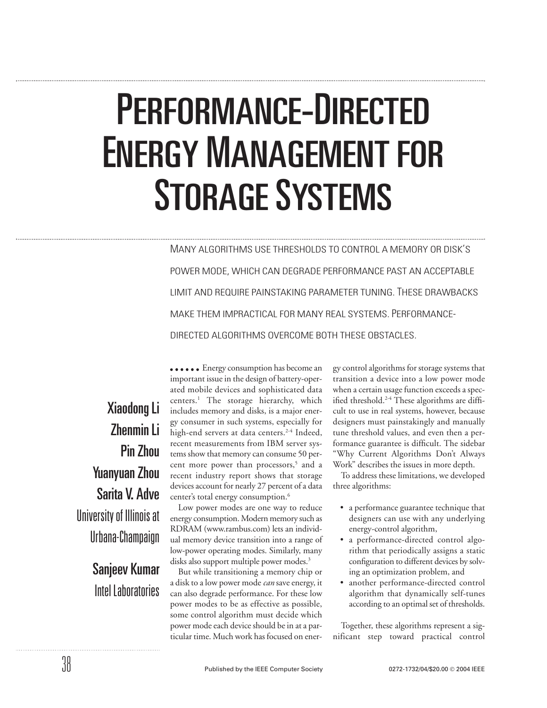# PERFORMANCE-DIRECTED ENERGY MANAGEMENT FOR STORAGE SYSTEMS

MANY ALGORITHMS USE THRESHOLDS TO CONTROL A MEMORY OR DISK'S POWER MODE, WHICH CAN DEGRADE PERFORMANCE PAST AN ACCEPTABLE LIMIT AND REQUIRE PAINSTAKING PARAMETER TUNING. THESE DRAWBACKS MAKE THEM IMPRACTICAL FOR MANY REAL SYSTEMS. PERFORMANCE-DIRECTED ALGORITHMS OVERCOME BOTH THESE OBSTACLES.

Xiaodong Li Zhenmin Li Pin Zhou Yuanyuan Zhou Sarita V. Adve University of Illinois at Urbana-Champaign

> Sanjeev Kumar Intel Laboratories

Energy consumption has become an important issue in the design of battery-operated mobile devices and sophisticated data centers.1 The storage hierarchy, which includes memory and disks, is a major energy consumer in such systems, especially for high-end servers at data centers.<sup>2-4</sup> Indeed, recent measurements from IBM server systems show that memory can consume 50 percent more power than processors,<sup>5</sup> and a recent industry report shows that storage devices account for nearly 27 percent of a data center's total energy consumption.<sup>6</sup>

Low power modes are one way to reduce energy consumption. Modern memory such as RDRAM (www.rambus.com) lets an individual memory device transition into a range of low-power operating modes. Similarly, many disks also support multiple power modes.<sup>3</sup>

But while transitioning a memory chip or a disk to a low power mode *can* save energy, it can also degrade performance. For these low power modes to be as effective as possible, some control algorithm must decide which power mode each device should be in at a particular time. Much work has focused on energy control algorithms for storage systems that transition a device into a low power mode when a certain usage function exceeds a specified threshold.2-4 These algorithms are difficult to use in real systems, however, because designers must painstakingly and manually tune threshold values, and even then a performance guarantee is difficult. The sidebar "Why Current Algorithms Don't Always Work" describes the issues in more depth.

To address these limitations, we developed three algorithms:

- a performance guarantee technique that designers can use with any underlying energy-control algorithm,
- a performance-directed control algorithm that periodically assigns a static configuration to different devices by solving an optimization problem, and
- another performance-directed control algorithm that dynamically self-tunes according to an optimal set of thresholds.

Together, these algorithms represent a significant step toward practical control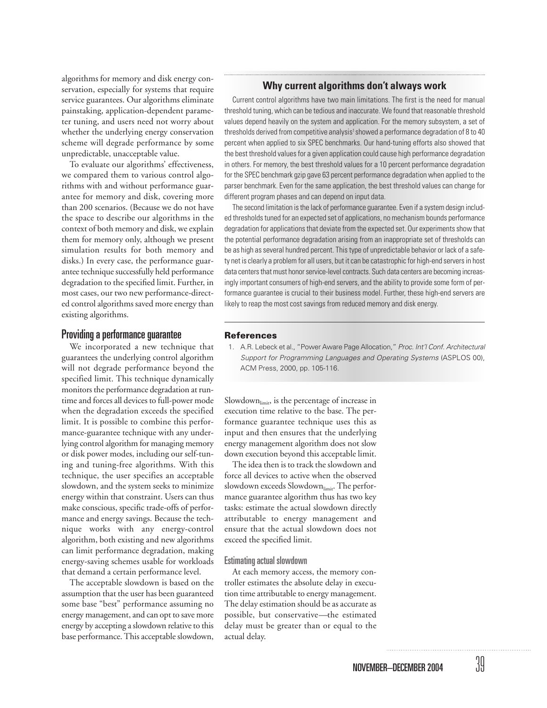algorithms for memory and disk energy conservation, especially for systems that require service guarantees. Our algorithms eliminate painstaking, application-dependent parameter tuning, and users need not worry about whether the underlying energy conservation scheme will degrade performance by some unpredictable, unacceptable value.

To evaluate our algorithms' effectiveness, we compared them to various control algorithms with and without performance guarantee for memory and disk, covering more than 200 scenarios. (Because we do not have the space to describe our algorithms in the context of both memory and disk, we explain them for memory only, although we present simulation results for both memory and disks.) In every case, the performance guarantee technique successfully held performance degradation to the specified limit. Further, in most cases, our two new performance-directed control algorithms saved more energy than existing algorithms.

# Providing a performance guarantee

We incorporated a new technique that guarantees the underlying control algorithm will not degrade performance beyond the specified limit. This technique dynamically monitors the performance degradation at runtime and forces all devices to full-power mode when the degradation exceeds the specified limit. It is possible to combine this performance-guarantee technique with any underlying control algorithm for managing memory or disk power modes, including our self-tuning and tuning-free algorithms. With this technique, the user specifies an acceptable slowdown, and the system seeks to minimize energy within that constraint. Users can thus make conscious, specific trade-offs of performance and energy savings. Because the technique works with any energy-control algorithm, both existing and new algorithms can limit performance degradation, making energy-saving schemes usable for workloads that demand a certain performance level.

The acceptable slowdown is based on the assumption that the user has been guaranteed some base "best" performance assuming no energy management, and can opt to save more energy by accepting a slowdown relative to this base performance. This acceptable slowdown,

## **Why current algorithms don't always work**

Current control algorithms have two main limitations. The first is the need for manual threshold tuning, which can be tedious and inaccurate. We found that reasonable threshold values depend heavily on the system and application. For the memory subsystem, a set of thresholds derived from competitive analysis<sup>1</sup> showed a performance degradation of 8 to 40 percent when applied to six SPEC benchmarks. Our hand-tuning efforts also showed that the best threshold values for a given application could cause high performance degradation in others. For memory, the best threshold values for a 10 percent performance degradation for the SPEC benchmark gzip gave 63 percent performance degradation when applied to the parser benchmark. Even for the same application, the best threshold values can change for different program phases and can depend on input data.

The second limitation is the lack of performance guarantee. Even if a system design included thresholds tuned for an expected set of applications, no mechanism bounds performance degradation for applications that deviate from the expected set. Our experiments show that the potential performance degradation arising from an inappropriate set of thresholds can be as high as several hundred percent. This type of unpredictable behavior or lack of a safety net is clearly a problem for all users, but it can be catastrophic for high-end servers in host data centers that must honor service-level contracts. Such data centers are becoming increasingly important consumers of high-end servers, and the ability to provide some form of performance guarantee is crucial to their business model. Further, these high-end servers are likely to reap the most cost savings from reduced memory and disk energy.

#### **References**

1. A.R. Lebeck et al., "Power Aware Page Allocation," Proc. Int'l Conf. Architectural Support for Programming Languages and Operating Systems (ASPLOS 00), ACM Press, 2000, pp. 105-116.

Slowdown $_{\text{limit}}$ , is the percentage of increase in execution time relative to the base. The performance guarantee technique uses this as input and then ensures that the underlying energy management algorithm does not slow down execution beyond this acceptable limit.

The idea then is to track the slowdown and force all devices to active when the observed slowdown exceeds Slowdown<sub>limit</sub>. The performance guarantee algorithm thus has two key tasks: estimate the actual slowdown directly attributable to energy management and ensure that the actual slowdown does not exceed the specified limit.

## Estimating actual slowdown

At each memory access, the memory controller estimates the absolute delay in execution time attributable to energy management. The delay estimation should be as accurate as possible, but conservative*—*the estimated delay must be greater than or equal to the actual delay.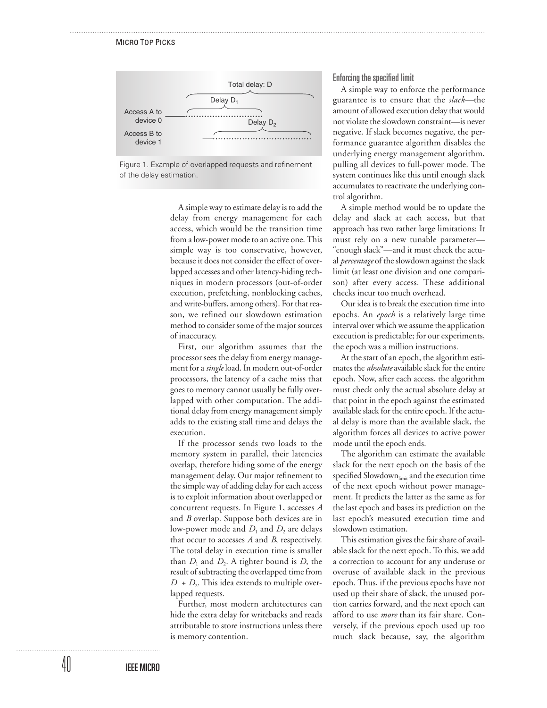#### MICRO TOP PICKS



Figure 1. Example of overlapped requests and refinement of the delay estimation.

A simple way to estimate delay is to add the delay from energy management for each access, which would be the transition time from a low-power mode to an active one. This simple way is too conservative, however, because it does not consider the effect of overlapped accesses and other latency-hiding techniques in modern processors (out-of-order execution, prefetching, nonblocking caches, and write-buffers, among others). For that reason, we refined our slowdown estimation method to consider some of the major sources of inaccuracy.

First, our algorithm assumes that the processor sees the delay from energy management for a *single* load. In modern out-of-order processors, the latency of a cache miss that goes to memory cannot usually be fully overlapped with other computation. The additional delay from energy management simply adds to the existing stall time and delays the execution.

If the processor sends two loads to the memory system in parallel, their latencies overlap, therefore hiding some of the energy management delay. Our major refinement to the simple way of adding delay for each access is to exploit information about overlapped or concurrent requests. In Figure 1, accesses *A* and *B* overlap. Suppose both devices are in low-power mode and  $D_1$  and  $D_2$  are delays that occur to accesses *A* and *B*, respectively. The total delay in execution time is smaller than  $D_1$  and  $D_2$ . A tighter bound is  $D$ , the result of subtracting the overlapped time from  $D_1 + D_2$ . This idea extends to multiple overlapped requests.

Further, most modern architectures can hide the extra delay for writebacks and reads attributable to store instructions unless there is memory contention.

Enforcing the specified limit

A simple way to enforce the performance guarantee is to ensure that the *slack—*the amount of allowed execution delay that would not violate the slowdown constraint—is never negative. If slack becomes negative, the performance guarantee algorithm disables the underlying energy management algorithm, pulling all devices to full-power mode. The system continues like this until enough slack accumulates to reactivate the underlying control algorithm.

A simple method would be to update the delay and slack at each access, but that approach has two rather large limitations: It must rely on a new tunable parameter— "enough slack"—and it must check the actual *percentage* of the slowdown against the slack limit (at least one division and one comparison) after every access. These additional checks incur too much overhead.

Our idea is to break the execution time into epochs. An *epoch* is a relatively large time interval over which we assume the application execution is predictable; for our experiments, the epoch was a million instructions.

At the start of an epoch, the algorithm estimates the *absolute* available slack for the entire epoch. Now, after each access, the algorithm must check only the actual absolute delay at that point in the epoch against the estimated available slack for the entire epoch. If the actual delay is more than the available slack, the algorithm forces all devices to active power mode until the epoch ends.

The algorithm can estimate the available slack for the next epoch on the basis of the specified Slowdown<sub>limit</sub> and the execution time of the next epoch without power management. It predicts the latter as the same as for the last epoch and bases its prediction on the last epoch's measured execution time and slowdown estimation.

This estimation gives the fair share of available slack for the next epoch. To this, we add a correction to account for any underuse or overuse of available slack in the previous epoch. Thus, if the previous epochs have not used up their share of slack, the unused portion carries forward, and the next epoch can afford to use *more* than its fair share. Conversely, if the previous epoch used up too much slack because, say, the algorithm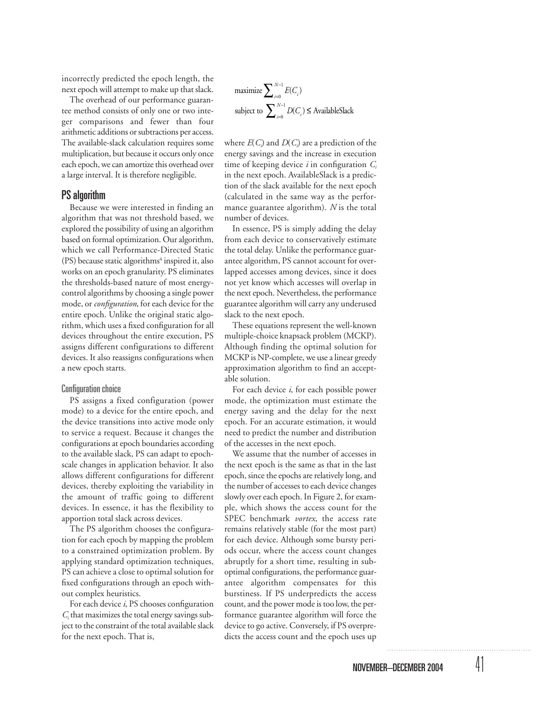incorrectly predicted the epoch length, the next epoch will attempt to make up that slack.

The overhead of our performance guarantee method consists of only one or two integer comparisons and fewer than four arithmetic additions or subtractions per access. The available-slack calculation requires some multiplication, but because it occurs only once each epoch, we can amortize this overhead over a large interval. It is therefore negligible.

# PS algorithm

Because we were interested in finding an algorithm that was not threshold based, we explored the possibility of using an algorithm based on formal optimization. Our algorithm, which we call Performance-Directed Static (PS) because static algorithms<sup>4</sup> inspired it, also works on an epoch granularity. PS eliminates the thresholds-based nature of most energycontrol algorithms by choosing a single power mode, or *configuration*, for each device for the entire epoch. Unlike the original static algorithm, which uses a fixed configuration for all devices throughout the entire execution, PS assigns different configurations to different devices. It also reassigns configurations when a new epoch starts.

#### Configuration choice

PS assigns a fixed configuration (power mode) to a device for the entire epoch, and the device transitions into active mode only to service a request. Because it changes the configurations at epoch boundaries according to the available slack, PS can adapt to epochscale changes in application behavior. It also allows different configurations for different devices, thereby exploiting the variability in the amount of traffic going to different devices. In essence, it has the flexibility to apportion total slack across devices.

The PS algorithm chooses the configuration for each epoch by mapping the problem to a constrained optimization problem. By applying standard optimization techniques, PS can achieve a close to optimal solution for fixed configurations through an epoch without complex heuristics.

For each device *i*, PS chooses configuration *Ci* that maximizes the total energy savings subject to the constraint of the total available slack for the next epoch. That is,

$$
\begin{aligned} \text{maximize} & \sum_{i=0}^{N-1} E(C_i) \\ \text{subject to} & \sum_{i=0}^{N-1} D(C_i) \le \text{AvailableStack} \end{aligned}
$$

where *E*(*Ci* ) and *D*(*Ci* ) are a prediction of the energy savings and the increase in execution time of keeping device *i* in configuration *Ci* in the next epoch. AvailableSlack is a prediction of the slack available for the next epoch (calculated in the same way as the performance guarantee algorithm). *N* is the total number of devices.

In essence, PS is simply adding the delay from each device to conservatively estimate the total delay. Unlike the performance guarantee algorithm, PS cannot account for overlapped accesses among devices, since it does not yet know which accesses will overlap in the next epoch. Nevertheless, the performance guarantee algorithm will carry any underused slack to the next epoch.

These equations represent the well-known multiple-choice knapsack problem (MCKP). Although finding the optimal solution for MCKP is NP-complete, we use a linear greedy approximation algorithm to find an acceptable solution.

For each device *i*, for each possible power mode, the optimization must estimate the energy saving and the delay for the next epoch. For an accurate estimation, it would need to predict the number and distribution of the accesses in the next epoch.

We assume that the number of accesses in the next epoch is the same as that in the last epoch, since the epochs are relatively long, and the number of accesses to each device changes slowly over each epoch. In Figure 2, for example, which shows the access count for the SPEC benchmark *vortex*, the access rate remains relatively stable (for the most part) for each device. Although some bursty periods occur, where the access count changes abruptly for a short time, resulting in suboptimal configurations, the performance guarantee algorithm compensates for this burstiness. If PS underpredicts the access count, and the power mode is too low, the performance guarantee algorithm will force the device to go active. Conversely, if PS overpredicts the access count and the epoch uses up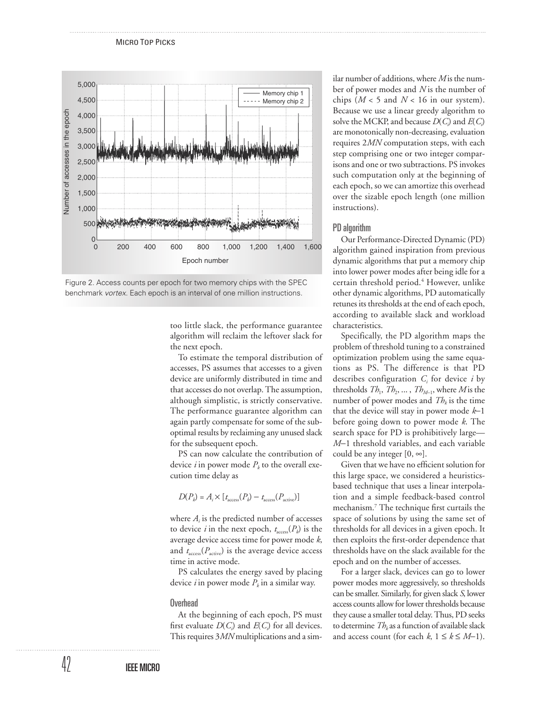#### MICRO TOP PICKS



Figure 2. Access counts per epoch for two memory chips with the SPEC benchmark vortex. Each epoch is an interval of one million instructions.

too little slack, the performance guarantee algorithm will reclaim the leftover slack for the next epoch.

To estimate the temporal distribution of accesses, PS assumes that accesses to a given device are uniformly distributed in time and that accesses do not overlap. The assumption, although simplistic, is strictly conservative. The performance guarantee algorithm can again partly compensate for some of the suboptimal results by reclaiming any unused slack for the subsequent epoch.

PS can now calculate the contribution of device  $i$  in power mode  $P_k$  to the overall execution time delay as

$$
D(P_k) = A_i \times [t_{\text{access}}(P_k) - t_{\text{access}}(P_{\text{active}})]
$$

where *A<sub>i</sub>* is the predicted number of accesses to device *i* in the next epoch,  $t_{\text{access}}(P_k)$  is the average device access time for power mode *k*, and  $t_{\text{access}}(P_{\text{active}})$  is the average device access time in active mode.

PS calculates the energy saved by placing device *i* in power mode  $P_k$  in a similar way.

#### **Overhead**

At the beginning of each epoch, PS must first evaluate  $D(C_i)$  and  $E(C_i)$  for all devices. This requires 3*MN* multiplications and a sim-

ilar number of additions, where *M* is the number of power modes and *N* is the number of chips  $(M < 5$  and  $N < 16$  in our system). Because we use a linear greedy algorithm to solve the MCKP, and because  $D(C_i)$  and  $E(C_i)$ are monotonically non-decreasing, evaluation requires 2*MN* computation steps, with each step comprising one or two integer comparisons and one or two subtractions. PS invokes such computation only at the beginning of each epoch, so we can amortize this overhead over the sizable epoch length (one million instructions).

#### PD algorithm

Our Performance-Directed Dynamic (PD) algorithm gained inspiration from previous dynamic algorithms that put a memory chip into lower power modes after being idle for a certain threshold period.<sup>4</sup> However, unlike other dynamic algorithms, PD automatically retunes its thresholds at the end of each epoch, according to available slack and workload characteristics.

Specifically, the PD algorithm maps the problem of threshold tuning to a constrained optimization problem using the same equations as PS. The difference is that PD describes configuration *Ci* for device *i* by thresholds  $Th_1$ ,  $Th_2$ , ...,  $Th_{M-1}$ , where *M* is the number of power modes and  $Th_k$  is the time that the device will stay in power mode *k*−1 before going down to power mode *k*. The search space for PD is prohibitively large— *M*−1 threshold variables, and each variable could be any integer  $[0, \infty]$ .

Given that we have no efficient solution for this large space, we considered a heuristicsbased technique that uses a linear interpolation and a simple feedback-based control mechanism.7 The technique first curtails the space of solutions by using the same set of thresholds for all devices in a given epoch. It then exploits the first-order dependence that thresholds have on the slack available for the epoch and on the number of accesses.

For a larger slack, devices can go to lower power modes more aggressively, so thresholds can be smaller. Similarly, for given slack *S*, lower access counts allow for lower thresholds because they cause a smaller total delay. Thus, PD seeks to determine  $Th_k$  as a function of available slack and access count (for each  $k$ ,  $1 \leq k \leq M-1$ ).

42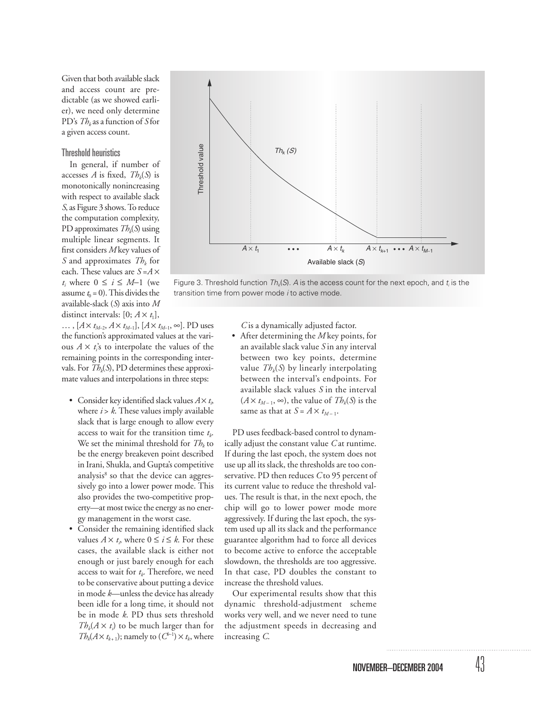Given that both available slack and access count are predictable (as we showed earlier), we need only determine PD's *Th<sub>k</sub>* as a function of *S* for a given access count.

## Threshold heuristics

In general, if number of accesses *A* is fixed,  $Th<sub>k</sub>(S)$  is monotonically nonincreasing with respect to available slack *S*, as Figure 3 shows. To reduce the computation complexity, PD approximates  $Th_k(S)$  using multiple linear segments. It first considers *M* key values of *S* and approximates *Th<sub>k</sub>* for each. These values are *S* =*A* × *t<sub>i</sub>* where  $0 \le i \le M-1$  (we assume  $t_0 = 0$ ). This divides the available-slack (*S*) axis into *M* distinct intervals:  $[0; A \times t_1]$ ,

...,  $[A \times t_{M-2}, A \times t_{M-1}], [A \times t_{M-1}, \infty]$ . PD uses the function's approximated values at the various  $A \times t_i$ 's to interpolate the values of the remaining points in the corresponding intervals. For  $Th_k(S)$ , PD determines these approximate values and interpolations in three steps:

- Consider key identified slack values  $A \times t$ <sub>*t*</sub> where  $i > k$ . These values imply available slack that is large enough to allow every access to wait for the transition time  $t_k$ . We set the minimal threshold for  $Th_k$  to be the energy breakeven point described in Irani, Shukla, and Gupta's competitive analysis $8$  so that the device can aggressively go into a lower power mode. This also provides the two-competitive property—at most twice the energy as no energy management in the worst case.
- Consider the remaining identified slack values  $A \times t_i$ , where  $0 \le i \le k$ . For these cases, the available slack is either not enough or just barely enough for each access to wait for  $t_k$ . Therefore, we need to be conservative about putting a device in mode *k*—unless the device has already been idle for a long time, it should not be in mode *k*. PD thus sets threshold  $Th_k(A \times t_i)$  to be much larger than for  $Th_k(A \times t_{k+1})$ ; namely to  $(C^{k-1}) \times t_k$ , where



Figure 3. Threshold function  $Th<sub>k</sub>(S)$ . A is the access count for the next epoch, and t<sub>i</sub> is the transition time from power mode *i* to active mode.

*C* is a dynamically adjusted factor.

*•* After determining the *M* key points, for an available slack value *S* in any interval between two key points, determine value  $Th_k(S)$  by linearly interpolating between the interval's endpoints. For available slack values *S* in the interval  $(A \times t_{M-1}, \infty)$ , the value of *Th<sub>k</sub>*(*S*) is the same as that at *S* = *A*  $\times$  *t*<sub>*M* − 1</sub>.

PD uses feedback-based control to dynamically adjust the constant value *C* at runtime. If during the last epoch, the system does not use up all its slack, the thresholds are too conservative. PD then reduces *C* to 95 percent of its current value to reduce the threshold values. The result is that, in the next epoch, the chip will go to lower power mode more aggressively. If during the last epoch, the system used up all its slack and the performance guarantee algorithm had to force all devices to become active to enforce the acceptable slowdown, the thresholds are too aggressive. In that case, PD doubles the constant to increase the threshold values.

Our experimental results show that this dynamic threshold-adjustment scheme works very well, and we never need to tune the adjustment speeds in decreasing and increasing *C*.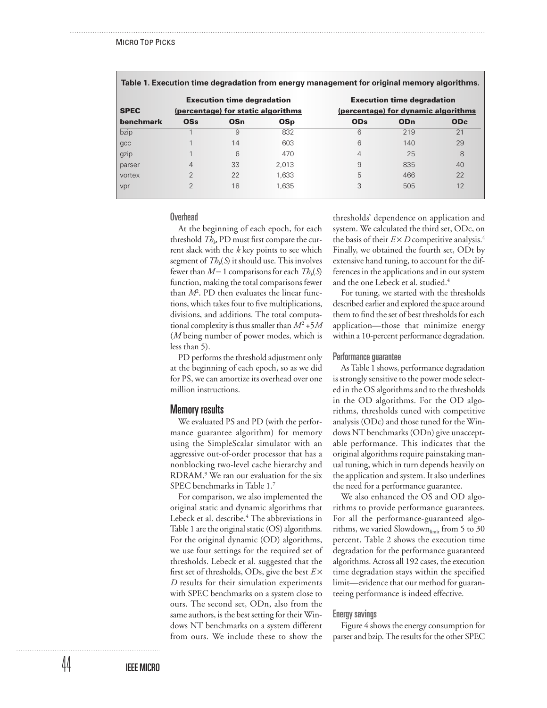#### MICRO TOP PICKS

| <b>SPEC</b> |                | <b>Execution time degradation</b><br>(percentage) for static algorithms |            | <b>Execution time degradation</b><br>(percentage) for dynamic algorithms |            |            |  |  |
|-------------|----------------|-------------------------------------------------------------------------|------------|--------------------------------------------------------------------------|------------|------------|--|--|
| benchmark   | <b>OSs</b>     | <b>OSn</b>                                                              | <b>OSp</b> | <b>ODs</b>                                                               | <b>ODn</b> | <b>ODc</b> |  |  |
| bzip        |                | 9                                                                       | 832        | 6                                                                        | 219        | 21         |  |  |
| gcc         |                | 14                                                                      | 603        | 6                                                                        | 140        | 29         |  |  |
| gzip        |                | 6                                                                       | 470        | 4                                                                        | 25         | 8          |  |  |
| parser      | 4              | 33                                                                      | 2,013      | 9                                                                        | 835        | 40         |  |  |
| vortex      | $\overline{2}$ | 22                                                                      | 1,633      | 5                                                                        | 466        | 22         |  |  |
| vpr         | $\overline{2}$ | 18                                                                      | 1.635      | 3                                                                        | 505        | 12         |  |  |

**Table 1. Execution time degradation from energy management for original memory algorithms.**

**Overhead** 

At the beginning of each epoch, for each threshold  $Th<sub>k</sub>$ , PD must first compare the current slack with the *k* key points to see which segment of  $Th_k(S)$  it should use. This involves fewer than  $M-1$  comparisons for each  $Th_k(S)$ function, making the total comparisons fewer than *M*<sup>2</sup> . PD then evaluates the linear functions, which takes four to five multiplications, divisions, and additions. The total computational complexity is thus smaller than *M*<sup>2</sup> +5*M* (*M* being number of power modes, which is less than 5).

PD performs the threshold adjustment only at the beginning of each epoch, so as we did for PS, we can amortize its overhead over one million instructions.

# Memory results

We evaluated PS and PD (with the performance guarantee algorithm) for memory using the SimpleScalar simulator with an aggressive out-of-order processor that has a nonblocking two-level cache hierarchy and RDRAM.9 We ran our evaluation for the six SPEC benchmarks in Table 1.7

For comparison, we also implemented the original static and dynamic algorithms that Lebeck et al. describe.<sup>4</sup> The abbreviations in Table 1 are the original static (OS) algorithms. For the original dynamic (OD) algorithms, we use four settings for the required set of thresholds. Lebeck et al. suggested that the first set of thresholds, ODs, give the best *E* × *D* results for their simulation experiments with SPEC benchmarks on a system close to ours. The second set, ODn, also from the same authors, is the best setting for their Windows NT benchmarks on a system different from ours. We include these to show the

thresholds' dependence on application and system. We calculated the third set, ODc, on the basis of their  $E \times D$  competitive analysis.<sup>4</sup> Finally, we obtained the fourth set, ODt by extensive hand tuning, to account for the differences in the applications and in our system and the one Lebeck et al. studied.<sup>4</sup>

For tuning, we started with the thresholds described earlier and explored the space around them to find the set of best thresholds for each application—those that minimize energy within a 10-percent performance degradation.

#### Performance guarantee

As Table 1 shows, performance degradation is strongly sensitive to the power mode selected in the OS algorithms and to the thresholds in the OD algorithms. For the OD algorithms, thresholds tuned with competitive analysis (ODc) and those tuned for the Windows NT benchmarks (ODn) give unacceptable performance. This indicates that the original algorithms require painstaking manual tuning, which in turn depends heavily on the application and system. It also underlines the need for a performance guarantee.

We also enhanced the OS and OD algorithms to provide performance guarantees. For all the performance-guaranteed algorithms, we varied Slowdown<sub>limit</sub> from 5 to 30 percent. Table 2 shows the execution time degradation for the performance guaranteed algorithms. Across all 192 cases, the execution time degradation stays within the specified limit—evidence that our method for guaranteeing performance is indeed effective.

## Energy savings

Figure 4 shows the energy consumption for parser and bzip. The results for the other SPEC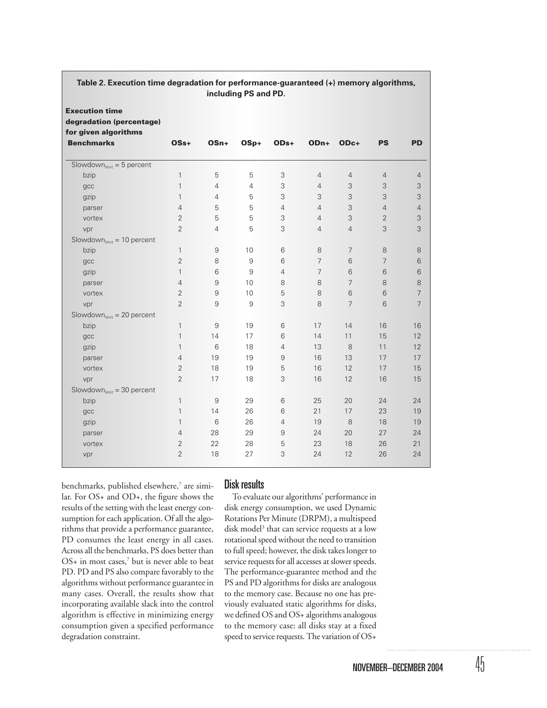| degradation (percentage)<br>for given algorithms<br><b>Benchmarks</b><br>OSn+<br>OSp+<br>ODn+<br>$OSs+$<br>OD <sub>s+</sub><br>$ODc+$<br><b>PS</b><br>Slowdown $_{\text{limit}} = 5$ percent<br>$\mathbf{1}$<br>5<br>5<br>3<br>$\overline{4}$<br>$\overline{4}$<br>$\overline{4}$<br>bzip<br>$\mathbf{1}$<br>3<br>3<br>3<br>$\overline{4}$<br>$\overline{4}$<br>$\overline{4}$<br>gcc<br>5<br>3<br>3<br>3<br>3<br>1<br>$\overline{4}$<br>gzip<br>5<br>5<br>$\overline{4}$<br>3<br>$\overline{4}$<br>$\overline{4}$<br>$\overline{4}$<br>parser<br>$\overline{2}$<br>5<br>5<br>3<br>$\overline{4}$<br>3<br>$\overline{2}$<br>vortex<br>$\overline{2}$<br>5<br>3<br>3<br>$\overline{4}$<br>$\overline{4}$<br>$\overline{4}$<br>vpr<br>$S$ lowdown $_{\text{limit}}$ = 10 percent<br>$\mathbf{1}$<br>$9\,$<br>10<br>6<br>8<br>$\overline{7}$<br>8<br>bzip<br>$\overline{2}$<br>$\overline{7}$<br>8<br>9<br>6<br>6<br>$\overline{7}$<br>gcc<br>9<br>$\overline{7}$<br>6<br>$\mathbf{1}$<br>6<br>$\overline{4}$<br>6<br>gzip<br>$\mathsf g$<br>10<br>8<br>$\overline{4}$<br>8<br>$\overline{7}$<br>8<br>parser<br>$\overline{2}$<br>9<br>10<br>5<br>8<br>6<br>6<br>vortex<br>$\overline{2}$<br>3<br>8<br>9<br>9<br>$\overline{7}$<br>6<br>vpr<br>Slowdown $_{\text{limit}}$ = 20 percent<br>$\mathbf{1}$<br>9<br>19<br>6<br>17<br>14<br>16<br>bzip<br>$\mathbf{1}$<br>14<br>17<br>6<br>14<br>11<br>15<br>gcc<br>$\mathbf{1}$<br>6<br>18<br>$\overline{4}$<br>13<br>8<br>11<br>gzip<br>19<br>$\mathsf{9}$<br>16<br>$\overline{4}$<br>19<br>13<br>17<br>parser<br>$\overline{2}$<br>18<br>19<br>5<br>16<br>12<br>17<br>vortex<br>$\overline{2}$<br>3<br>18<br>16<br>17<br>12<br>16<br>vpr<br>Slowdown $_{\text{limit}}$ = 30 percent<br>bzip<br>$\mathbf{1}$<br>9<br>29<br>20<br>6<br>25<br>24<br>$\mathbf{1}$<br>14<br>26<br>6<br>21<br>17<br>23<br>gcc<br>6<br>26<br>$\overline{4}$<br>8<br>18<br>gzip<br>1<br>19 | <b>Execution time</b> |                |    |    |       |    |    |    |                |  |  |  |
|--------------------------------------------------------------------------------------------------------------------------------------------------------------------------------------------------------------------------------------------------------------------------------------------------------------------------------------------------------------------------------------------------------------------------------------------------------------------------------------------------------------------------------------------------------------------------------------------------------------------------------------------------------------------------------------------------------------------------------------------------------------------------------------------------------------------------------------------------------------------------------------------------------------------------------------------------------------------------------------------------------------------------------------------------------------------------------------------------------------------------------------------------------------------------------------------------------------------------------------------------------------------------------------------------------------------------------------------------------------------------------------------------------------------------------------------------------------------------------------------------------------------------------------------------------------------------------------------------------------------------------------------------------------------------------------------------------------------------------------------------------------------------------------------------------------------------------------------------------------------------------------------------------------|-----------------------|----------------|----|----|-------|----|----|----|----------------|--|--|--|
|                                                                                                                                                                                                                                                                                                                                                                                                                                                                                                                                                                                                                                                                                                                                                                                                                                                                                                                                                                                                                                                                                                                                                                                                                                                                                                                                                                                                                                                                                                                                                                                                                                                                                                                                                                                                                                                                                                              |                       |                |    |    |       |    |    |    |                |  |  |  |
|                                                                                                                                                                                                                                                                                                                                                                                                                                                                                                                                                                                                                                                                                                                                                                                                                                                                                                                                                                                                                                                                                                                                                                                                                                                                                                                                                                                                                                                                                                                                                                                                                                                                                                                                                                                                                                                                                                              |                       |                |    |    |       |    |    |    | <b>PD</b>      |  |  |  |
|                                                                                                                                                                                                                                                                                                                                                                                                                                                                                                                                                                                                                                                                                                                                                                                                                                                                                                                                                                                                                                                                                                                                                                                                                                                                                                                                                                                                                                                                                                                                                                                                                                                                                                                                                                                                                                                                                                              |                       |                |    |    |       |    |    |    |                |  |  |  |
|                                                                                                                                                                                                                                                                                                                                                                                                                                                                                                                                                                                                                                                                                                                                                                                                                                                                                                                                                                                                                                                                                                                                                                                                                                                                                                                                                                                                                                                                                                                                                                                                                                                                                                                                                                                                                                                                                                              |                       |                |    |    |       |    |    |    | $\overline{4}$ |  |  |  |
|                                                                                                                                                                                                                                                                                                                                                                                                                                                                                                                                                                                                                                                                                                                                                                                                                                                                                                                                                                                                                                                                                                                                                                                                                                                                                                                                                                                                                                                                                                                                                                                                                                                                                                                                                                                                                                                                                                              |                       |                |    |    |       |    |    |    | 3              |  |  |  |
|                                                                                                                                                                                                                                                                                                                                                                                                                                                                                                                                                                                                                                                                                                                                                                                                                                                                                                                                                                                                                                                                                                                                                                                                                                                                                                                                                                                                                                                                                                                                                                                                                                                                                                                                                                                                                                                                                                              |                       |                |    |    |       |    |    |    | 3              |  |  |  |
|                                                                                                                                                                                                                                                                                                                                                                                                                                                                                                                                                                                                                                                                                                                                                                                                                                                                                                                                                                                                                                                                                                                                                                                                                                                                                                                                                                                                                                                                                                                                                                                                                                                                                                                                                                                                                                                                                                              |                       |                |    |    |       |    |    |    | $\overline{4}$ |  |  |  |
|                                                                                                                                                                                                                                                                                                                                                                                                                                                                                                                                                                                                                                                                                                                                                                                                                                                                                                                                                                                                                                                                                                                                                                                                                                                                                                                                                                                                                                                                                                                                                                                                                                                                                                                                                                                                                                                                                                              |                       |                |    |    |       |    |    |    | 3              |  |  |  |
|                                                                                                                                                                                                                                                                                                                                                                                                                                                                                                                                                                                                                                                                                                                                                                                                                                                                                                                                                                                                                                                                                                                                                                                                                                                                                                                                                                                                                                                                                                                                                                                                                                                                                                                                                                                                                                                                                                              |                       |                |    |    |       |    |    |    | 3              |  |  |  |
|                                                                                                                                                                                                                                                                                                                                                                                                                                                                                                                                                                                                                                                                                                                                                                                                                                                                                                                                                                                                                                                                                                                                                                                                                                                                                                                                                                                                                                                                                                                                                                                                                                                                                                                                                                                                                                                                                                              |                       |                |    |    |       |    |    |    |                |  |  |  |
|                                                                                                                                                                                                                                                                                                                                                                                                                                                                                                                                                                                                                                                                                                                                                                                                                                                                                                                                                                                                                                                                                                                                                                                                                                                                                                                                                                                                                                                                                                                                                                                                                                                                                                                                                                                                                                                                                                              |                       |                |    |    |       |    |    |    | 8              |  |  |  |
|                                                                                                                                                                                                                                                                                                                                                                                                                                                                                                                                                                                                                                                                                                                                                                                                                                                                                                                                                                                                                                                                                                                                                                                                                                                                                                                                                                                                                                                                                                                                                                                                                                                                                                                                                                                                                                                                                                              |                       |                |    |    |       |    |    |    | 6              |  |  |  |
|                                                                                                                                                                                                                                                                                                                                                                                                                                                                                                                                                                                                                                                                                                                                                                                                                                                                                                                                                                                                                                                                                                                                                                                                                                                                                                                                                                                                                                                                                                                                                                                                                                                                                                                                                                                                                                                                                                              |                       |                |    |    |       |    |    |    | 6              |  |  |  |
|                                                                                                                                                                                                                                                                                                                                                                                                                                                                                                                                                                                                                                                                                                                                                                                                                                                                                                                                                                                                                                                                                                                                                                                                                                                                                                                                                                                                                                                                                                                                                                                                                                                                                                                                                                                                                                                                                                              |                       |                |    |    |       |    |    |    | 8              |  |  |  |
|                                                                                                                                                                                                                                                                                                                                                                                                                                                                                                                                                                                                                                                                                                                                                                                                                                                                                                                                                                                                                                                                                                                                                                                                                                                                                                                                                                                                                                                                                                                                                                                                                                                                                                                                                                                                                                                                                                              |                       |                |    |    |       |    |    |    | 7              |  |  |  |
|                                                                                                                                                                                                                                                                                                                                                                                                                                                                                                                                                                                                                                                                                                                                                                                                                                                                                                                                                                                                                                                                                                                                                                                                                                                                                                                                                                                                                                                                                                                                                                                                                                                                                                                                                                                                                                                                                                              |                       |                |    |    |       |    |    |    | 7              |  |  |  |
|                                                                                                                                                                                                                                                                                                                                                                                                                                                                                                                                                                                                                                                                                                                                                                                                                                                                                                                                                                                                                                                                                                                                                                                                                                                                                                                                                                                                                                                                                                                                                                                                                                                                                                                                                                                                                                                                                                              |                       |                |    |    |       |    |    |    |                |  |  |  |
|                                                                                                                                                                                                                                                                                                                                                                                                                                                                                                                                                                                                                                                                                                                                                                                                                                                                                                                                                                                                                                                                                                                                                                                                                                                                                                                                                                                                                                                                                                                                                                                                                                                                                                                                                                                                                                                                                                              |                       |                |    |    |       |    |    |    | 16             |  |  |  |
|                                                                                                                                                                                                                                                                                                                                                                                                                                                                                                                                                                                                                                                                                                                                                                                                                                                                                                                                                                                                                                                                                                                                                                                                                                                                                                                                                                                                                                                                                                                                                                                                                                                                                                                                                                                                                                                                                                              |                       |                |    |    |       |    |    |    | 12             |  |  |  |
|                                                                                                                                                                                                                                                                                                                                                                                                                                                                                                                                                                                                                                                                                                                                                                                                                                                                                                                                                                                                                                                                                                                                                                                                                                                                                                                                                                                                                                                                                                                                                                                                                                                                                                                                                                                                                                                                                                              |                       |                |    |    |       |    |    |    | 12             |  |  |  |
|                                                                                                                                                                                                                                                                                                                                                                                                                                                                                                                                                                                                                                                                                                                                                                                                                                                                                                                                                                                                                                                                                                                                                                                                                                                                                                                                                                                                                                                                                                                                                                                                                                                                                                                                                                                                                                                                                                              |                       |                |    |    |       |    |    |    | 17             |  |  |  |
|                                                                                                                                                                                                                                                                                                                                                                                                                                                                                                                                                                                                                                                                                                                                                                                                                                                                                                                                                                                                                                                                                                                                                                                                                                                                                                                                                                                                                                                                                                                                                                                                                                                                                                                                                                                                                                                                                                              |                       |                |    |    |       |    |    |    | 15             |  |  |  |
|                                                                                                                                                                                                                                                                                                                                                                                                                                                                                                                                                                                                                                                                                                                                                                                                                                                                                                                                                                                                                                                                                                                                                                                                                                                                                                                                                                                                                                                                                                                                                                                                                                                                                                                                                                                                                                                                                                              |                       |                |    |    |       |    |    |    | 15             |  |  |  |
|                                                                                                                                                                                                                                                                                                                                                                                                                                                                                                                                                                                                                                                                                                                                                                                                                                                                                                                                                                                                                                                                                                                                                                                                                                                                                                                                                                                                                                                                                                                                                                                                                                                                                                                                                                                                                                                                                                              |                       |                |    |    |       |    |    |    |                |  |  |  |
|                                                                                                                                                                                                                                                                                                                                                                                                                                                                                                                                                                                                                                                                                                                                                                                                                                                                                                                                                                                                                                                                                                                                                                                                                                                                                                                                                                                                                                                                                                                                                                                                                                                                                                                                                                                                                                                                                                              |                       |                |    |    |       |    |    |    | 24             |  |  |  |
|                                                                                                                                                                                                                                                                                                                                                                                                                                                                                                                                                                                                                                                                                                                                                                                                                                                                                                                                                                                                                                                                                                                                                                                                                                                                                                                                                                                                                                                                                                                                                                                                                                                                                                                                                                                                                                                                                                              |                       |                |    |    |       |    |    |    | 19             |  |  |  |
|                                                                                                                                                                                                                                                                                                                                                                                                                                                                                                                                                                                                                                                                                                                                                                                                                                                                                                                                                                                                                                                                                                                                                                                                                                                                                                                                                                                                                                                                                                                                                                                                                                                                                                                                                                                                                                                                                                              |                       |                |    |    |       |    |    |    | 19             |  |  |  |
|                                                                                                                                                                                                                                                                                                                                                                                                                                                                                                                                                                                                                                                                                                                                                                                                                                                                                                                                                                                                                                                                                                                                                                                                                                                                                                                                                                                                                                                                                                                                                                                                                                                                                                                                                                                                                                                                                                              | parser                | $\overline{4}$ | 28 | 29 | $9\,$ | 24 | 20 | 27 | 24             |  |  |  |
| $\overline{2}$<br>22<br>28<br>18<br>5<br>23<br>26<br>vortex                                                                                                                                                                                                                                                                                                                                                                                                                                                                                                                                                                                                                                                                                                                                                                                                                                                                                                                                                                                                                                                                                                                                                                                                                                                                                                                                                                                                                                                                                                                                                                                                                                                                                                                                                                                                                                                  |                       |                |    |    |       |    |    |    | 21             |  |  |  |
| $\overline{2}$<br>3<br>18<br>27<br>24<br>12<br>26<br>vpr                                                                                                                                                                                                                                                                                                                                                                                                                                                                                                                                                                                                                                                                                                                                                                                                                                                                                                                                                                                                                                                                                                                                                                                                                                                                                                                                                                                                                                                                                                                                                                                                                                                                                                                                                                                                                                                     |                       |                |    |    |       |    |    |    | 24             |  |  |  |

# **Table 2. Execution time degradation for performance-guaranteed (+) memory algorithms, including PS and PD.**

benchmarks, published elsewhere,<sup>7</sup> are similar. For OS+ and OD+, the figure shows the results of the setting with the least energy consumption for each application. Of all the algorithms that provide a performance guarantee, PD consumes the least energy in all cases. Across all the benchmarks, PS does better than  $OS+$  in most cases,<sup>7</sup> but is never able to beat PD. PD and PS also compare favorably to the algorithms without performance guarantee in many cases. Overall, the results show that incorporating available slack into the control algorithm is effective in minimizing energy consumption given a specified performance degradation constraint.

# Disk results

To evaluate our algorithms' performance in disk energy consumption, we used Dynamic Rotations Per Minute (DRPM), a multispeed disk model<sup>3</sup> that can service requests at a low rotational speed without the need to transition to full speed; however, the disk takes longer to service requests for all accesses at slower speeds. The performance-guarantee method and the PS and PD algorithms for disks are analogous to the memory case. Because no one has previously evaluated static algorithms for disks, we defined OS and OS+ algorithms analogous to the memory case: all disks stay at a fixed speed to service requests. The variation of OS+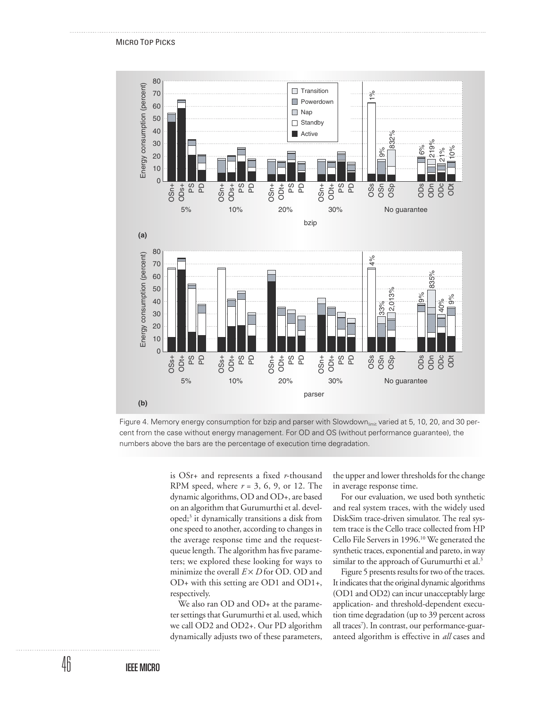

Figure 4. Memory energy consumption for bzip and parser with Slowdown<sub>limit</sub> varied at 5, 10, 20, and 30 percent from the case without energy management. For OD and OS (without performance guarantee), the numbers above the bars are the percentage of execution time degradation.

is OSr+ and represents a fixed *r*-thousand RPM speed, where *r* = 3, 6, 9, or 12. The dynamic algorithms, OD and OD+, are based on an algorithm that Gurumurthi et al. developed;3 it dynamically transitions a disk from one speed to another, according to changes in the average response time and the requestqueue length. The algorithm has five parameters; we explored these looking for ways to minimize the overall *E* × *D* for OD. OD and OD+ with this setting are OD1 and OD1+, respectively.

We also ran OD and OD+ at the parameter settings that Gurumurthi et al. used, which we call OD2 and OD2+. Our PD algorithm dynamically adjusts two of these parameters, the upper and lower thresholds for the change in average response time.

For our evaluation, we used both synthetic and real system traces, with the widely used DiskSim trace-driven simulator. The real system trace is the Cello trace collected from HP Cello File Servers in 1996.10 We generated the synthetic traces, exponential and pareto, in way similar to the approach of Gurumurthi et al.<sup>3</sup>

Figure 5 presents results for two of the traces. It indicates that the original dynamic algorithms (OD1 and OD2) can incur unacceptably large application- and threshold-dependent execution time degradation (up to 39 percent across all traces7 ). In contrast, our performance-guaranteed algorithm is effective in *all* cases and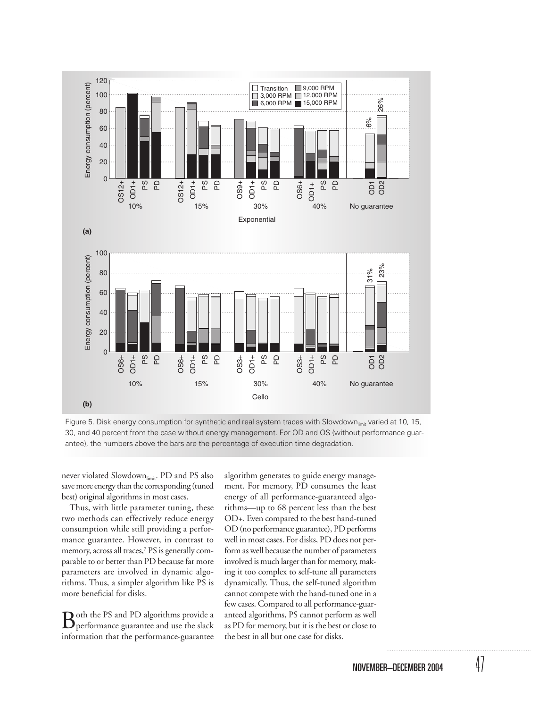

Figure 5. Disk energy consumption for synthetic and real system traces with Slowdownlimit varied at 10, 15, 30, and 40 percent from the case without energy management. For OD and OS (without performance guarantee), the numbers above the bars are the percentage of execution time degradation.

never violated Slowdown<sub>limit</sub>. PD and PS also save more energy than the corresponding (tuned best) original algorithms in most cases.

Thus, with little parameter tuning, these two methods can effectively reduce energy consumption while still providing a performance guarantee. However, in contrast to memory, across all traces,<sup>7</sup> PS is generally comparable to or better than PD because far more parameters are involved in dynamic algorithms. Thus, a simpler algorithm like PS is more beneficial for disks.

Both the PS and PD algorithms provide a performance guarantee and use the slack information that the performance-guarantee algorithm generates to guide energy management. For memory, PD consumes the least energy of all performance-guaranteed algorithms—up to 68 percent less than the best OD+. Even compared to the best hand-tuned OD (no performance guarantee), PD performs well in most cases. For disks, PD does not perform as well because the number of parameters involved is much larger than for memory, making it too complex to self-tune all parameters dynamically. Thus, the self-tuned algorithm cannot compete with the hand-tuned one in a few cases. Compared to all performance-guaranteed algorithms, PS cannot perform as well as PD for memory, but it is the best or close to the best in all but one case for disks.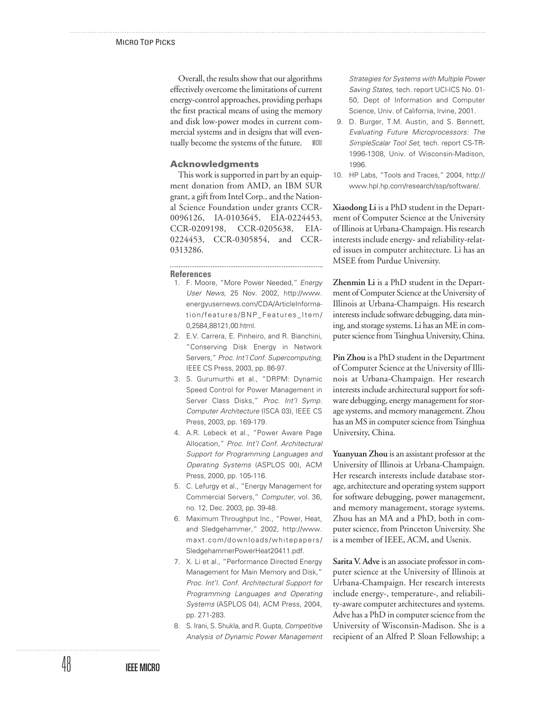Overall, the results show that our algorithms effectively overcome the limitations of current energy-control approaches, providing perhaps the first practical means of using the memory and disk low-power modes in current commercial systems and in designs that will eventually become the systems of the future. MICRO

#### **Acknowledgments**

This work is supported in part by an equipment donation from AMD, an IBM SUR grant, a gift from Intel Corp., and the National Science Foundation under grants CCR-0096126, IA-0103645, EIA-0224453, CCR-0209198, CCR-0205638, EIA-0224453, CCR-0305854, and CCR-0313286.

#### **References**

- 1. F. Moore, "More Power Needed," Energy User News, 25 Nov. 2002, http://www. energyusernews.com/CDA/ArticleInformation/features/BNP\_Features\_Item/ 0,2584,88121,00.html.
- 2. E.V. Carrera, E. Pinheiro, and R. Bianchini, "Conserving Disk Energy in Network Servers," Proc. Int'l Conf. Supercomputing, IEEE CS Press, 2003, pp. 86-97.
- 3. S. Gurumurthi et al., "DRPM: Dynamic Speed Control for Power Management in Server Class Disks," Proc. Int'l Symp. Computer Architecture (ISCA 03), IEEE CS Press, 2003, pp. 169-179.
- 4. A.R. Lebeck et al., "Power Aware Page Allocation," Proc. Int'l Conf. Architectural Support for Programming Languages and Operating Systems (ASPLOS 00), ACM Press, 2000, pp. 105-116.
- 5. C. Lefurgy et al., "Energy Management for Commercial Servers," Computer, vol. 36, no. 12, Dec. 2003, pp. 39-48.
- 6. Maximum Throughput Inc., "Power, Heat, and Sledgehammer," 2002, http://www. maxt.com/downloads/whitepapers/ SledgehammerPowerHeat20411.pdf.
- 7. X. Li et al., "Performance Directed Energy Management for Main Memory and Disk," Proc. Int'l. Conf. Architectural Support for Programming Languages and Operating Systems (ASPLOS 04), ACM Press, 2004, pp. 271-283.
- 8. S. Irani, S. Shukla, and R. Gupta, Competitive Analysis of Dynamic Power Management

Strategies for Systems with Multiple Power Saving States, tech. report UCI-ICS No. 01-50, Dept of Information and Computer Science, Univ. of California, Irvine, 2001.

- 9. D. Burger, T.M. Austin, and S. Bennett, Evaluating Future Microprocessors: The SimpleScalar Tool Set, tech. report CS-TR-1996-1308, Univ. of Wisconsin-Madison, 1996.
- 10. HP Labs, "Tools and Traces," 2004, http:// www.hpl.hp.com/research/ssp/software/.

**Xiaodong Li** is a PhD student in the Department of Computer Science at the University of Illinois at Urbana-Champaign. His research interests include energy- and reliability-related issues in computer architecture. Li has an MSEE from Purdue University.

**Zhenmin Li** is a PhD student in the Department of Computer Science at the University of Illinois at Urbana-Champaign. His research interests include software debugging, data mining, and storage systems. Li has an ME in computer science from Tsinghua University, China.

**Pin Zhou** is a PhD student in the Department of Computer Science at the University of Illinois at Urbana-Champaign. Her research interests include architectural support for software debugging, energy management for storage systems, and memory management. Zhou has an MS in computer science from Tsinghua University, China.

**Yuanyuan Zhou** is an assistant professor at the University of Illinois at Urbana-Champaign. Her research interests include database storage, architecture and operating system support for software debugging, power management, and memory management, storage systems. Zhou has an MA and a PhD, both in computer science, from Princeton University. She is a member of IEEE, ACM, and Usenix.

**Sarita V. Adve** is an associate professor in computer science at the University of Illinois at Urbana-Champaign. Her research interests include energy-, temperature-, and reliability-aware computer architectures and systems. Adve has a PhD in computer science from the University of Wisconsin-Madison. She is a recipient of an Alfred P. Sloan Fellowship; a